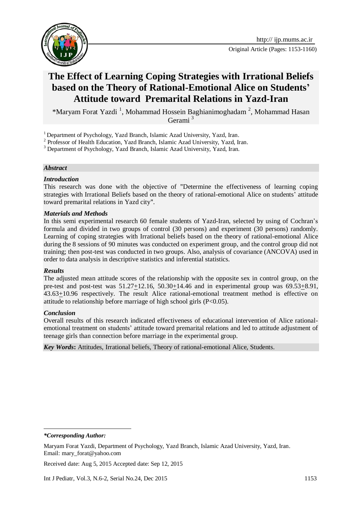

# **The Effect of Learning Coping Strategies with Irrational Beliefs based on the Theory of Rational-Emotional Alice on Students' Attitude toward Premarital Relations in Yazd-Iran**

\*Maryam Forat Yazdi<sup>1</sup>, Mohammad Hossein Baghianimoghadam<sup>2</sup>, Mohammad Hasan Gerami <sup>3</sup>

<sup>1</sup> Department of Psychology, Yazd Branch, Islamic Azad University, Yazd, Iran.

<sup>3</sup> Department of Psychology, Yazd Branch, Islamic Azad University, Yazd, Iran.

### *Abstract*

### *Introduction*

This research was done with the objective of "Determine the effectiveness of learning coping strategies with Irrational Beliefs based on the theory of rational-emotional Alice on students' attitude toward premarital relations in Yazd city".

### *Materials and Methods*

In this semi experimental research 60 female students of Yazd-Iran, selected by using of Cochran's formula and divided in two groups of control (30 persons) and experiment (30 persons) randomly. Learning of coping strategies with Irrational beliefs based on the theory of rational-emotional Alice during the 8 sessions of 90 minutes was conducted on experiment group, and the control group did not training; then post-test was conducted in two groups. Also, analysis of covariance (ANCOVA) used in order to data analysis in descriptive statistics and inferential statistics.

### *Results*

The adjusted mean attitude scores of the relationship with the opposite sex in control group, on the pre-test and post-test was  $51.27 \pm 12.16$ ,  $50.30 \pm 14.46$  and in experimental group was  $69.53 \pm 8.91$ ,  $43.63 \pm 10.96$  respectively. The result Alice rational-emotional treatment method is effective on attitude to relationship before marriage of high school girls (P<0.05).

### *Conclusion*

Overall results of this research indicated effectiveness of educational intervention of Alice rationalemotional treatment on students' attitude toward premarital relations and led to attitude adjustment of teenage girls than connection before marriage in the experimental group.

*Key Words***:** Attitudes, Irrational beliefs, Theory of rational-emotional Alice, Students.

**.** 

Received date: Aug 5, 2015 Accepted date: Sep 12, 2015

<sup>&</sup>lt;sup>2</sup> Professor of Health Education, Yazd Branch, Islamic Azad University, Yazd, Iran.

*<sup>\*</sup>Corresponding Author:*

Maryam Forat Yazdi, Department of Psychology, Yazd Branch, Islamic Azad University, Yazd, Iran. Email: mary\_forat@yahoo.com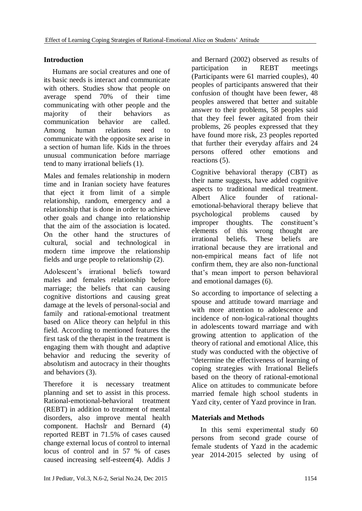# **Introduction**

Humans are social creatures and one of its basic needs is interact and communicate with others. Studies show that people on average spend 70% of their time communicating with other people and the majority of their behaviors as communication behavior are called. Among human relations need to communicate with the opposite sex arise in a section of human life. Kids in the throes unusual communication before marriage tend to many irrational beliefs (1).

Males and females relationship in modern time and in Iranian society have features that eject it from limit of a simple relationship, random, emergency and a relationship that is done in order to achieve other goals and change into relationship that the aim of the association is located. On the other hand the structures of cultural, social and technological in modern time improve the relationship fields and urge people to relationship (2).

Adolescent's irrational beliefs toward males and females relationship before marriage; the beliefs that can causing cognitive distortions and causing great damage at the levels of personal-social and family and rational-emotional treatment based on Alice theory can helpful in this field. According to mentioned features the first task of the therapist in the treatment is engaging them with thought and adaptive behavior and reducing the severity of absolutism and autocracy in their thoughts and behaviors (3).

Therefore it is necessary treatment planning and set to assist in this process. Rational-emotional-behavioral treatment (REBT) in addition to treatment of mental disorders, also improve mental health component. Hachslr and Bernard (4) reported REBT in 71.5% of cases caused change external locus of control to internal locus of control and in 57 % of cases caused increasing self-esteem(4). Addis J

and Bernard (2002) observed as results of participation in REBT meetings (Participants were 61 married couples), 40 peoples of participants answered that their confusion of thought have been fewer, 48 peoples answered that better and suitable answer to their problems, 58 peoples said that they feel fewer agitated from their problems, 26 peoples expressed that they have found more risk, 23 peoples reported that further their everyday affairs and 24 persons offered other emotions and reactions (5).

Cognitive behavioral therapy (CBT) as their name suggests, have added cognitive aspects to traditional medical treatment. Albert Alice founder of rationalemotional-behavioral therapy believe that psychological problems caused by improper thoughts. The constituent's elements of this wrong thought are irrational beliefs. These beliefs are irrational because they are irrational and non-empirical means fact of life not confirm them, they are also non-functional that's mean import to person behavioral and emotional damages (6).

So according to importance of selecting a spouse and attitude toward marriage and with more attention to adolescence and incidence of non-logical-rational thoughts in adolescents toward marriage and with growing attention to application of the theory of rational and emotional Alice, this study was conducted with the objective of "determine the effectiveness of learning of coping strategies with Irrational Beliefs based on the theory of rational-emotional Alice on attitudes to communicate before married female high school students in Yazd city, center of Yazd province in Iran.

# **Materials and Methods**

In this semi experimental study 60 persons from second grade course of female students of Yazd in the academic year 2014-2015 selected by using of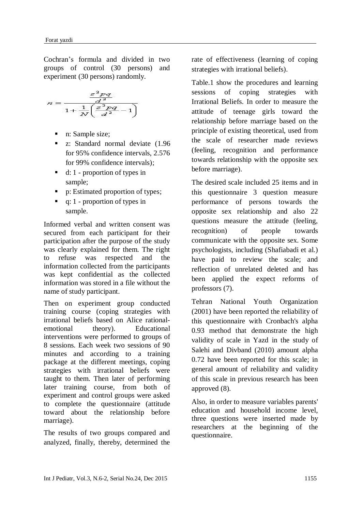Cochran's formula and divided in two groups of control (30 persons) and experiment (30 persons) randomly.

$$
n=\frac{\frac{z^2pq}{d^2}}{1+\frac{1}{N}\bigg(\frac{z^2pq}{d^2}-1\bigg)}
$$

- n: Sample size;
- **z**: Standard normal deviate (1.96 for 95% confidence intervals, 2.576 for 99% confidence intervals);
- $\blacksquare$  d: 1 proportion of types in sample;
- p: Estimated proportion of types;
- q: 1 proportion of types in sample.

Informed verbal and written consent was secured from each participant for their participation after the purpose of the study was clearly explained for them. The right to refuse was respected and the information collected from the participants was kept confidential as the collected information was stored in a file without the name of study participant.

Then on experiment group conducted training course (coping strategies with irrational beliefs based on Alice rationalemotional theory). Educational interventions were performed to groups of 8 sessions. Each week two sessions of 90 minutes and according to a training package at the different meetings, coping strategies with irrational beliefs were taught to them. Then later of performing later training course, from both of experiment and control groups were asked to complete the questionnaire (attitude toward about the relationship before marriage).

The results of two groups compared and analyzed, finally, thereby, determined the rate of effectiveness (learning of coping strategies with irrational beliefs).

Table.1 show the procedures and learning sessions of coping strategies with Irrational Beliefs. In order to measure the attitude of teenage girls toward the relationship before marriage based on the principle of existing theoretical, used from the scale of researcher made reviews (feeling, recognition and performance towards relationship with the opposite sex before marriage).

The desired scale included 25 items and in this questionnaire 3 question measure performance of persons towards the opposite sex relationship and also 22 questions measure the attitude (feeling, recognition) of people towards communicate with the opposite sex. Some psychologists, including (Shafiabadi et al.) have paid to review the scale; and reflection of unrelated deleted and has been applied the expect reforms of professors (7).

Tehran National Youth Organization (2001) have been reported the reliability of this questionnaire with Cronbach's alpha 0.93 method that demonstrate the high validity of scale in Yazd in the study of Salehi and Divband (2010) amount alpha 0.72 have been reported for this scale; in general amount of reliability and validity of this scale in previous research has been approved (8).

Also, in order to measure variables parents' education and household income level, three questions were inserted made by researchers at the beginning of the questionnaire.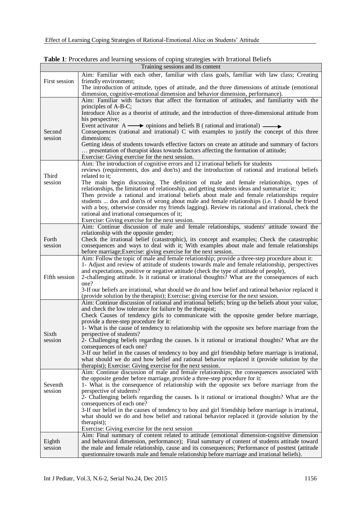| Training sessions and its content |                                                                                                                                                                                             |  |  |  |  |  |  |
|-----------------------------------|---------------------------------------------------------------------------------------------------------------------------------------------------------------------------------------------|--|--|--|--|--|--|
|                                   | Aim: Familiar with each other, familiar with class goals, familiar with law class; Creating                                                                                                 |  |  |  |  |  |  |
| First session                     | friendly environment;                                                                                                                                                                       |  |  |  |  |  |  |
|                                   | The introduction of attitude, types of attitude, and the three dimensions of attitude (emotional                                                                                            |  |  |  |  |  |  |
|                                   | dimension, cognitive-emotional dimension and behavior dimension, performance).                                                                                                              |  |  |  |  |  |  |
|                                   | Aim: Familiar with factors that affect the formation of attitudes, and familiarity with the                                                                                                 |  |  |  |  |  |  |
|                                   | principles of A-B-C;                                                                                                                                                                        |  |  |  |  |  |  |
|                                   | Introduce Alice as a theorist of attitude, and the introduction of three-dimensional attitude from                                                                                          |  |  |  |  |  |  |
|                                   | his perspective;                                                                                                                                                                            |  |  |  |  |  |  |
|                                   | Event activator $A \longrightarrow$ opinions and beliefs B (rational and irrational) $\longrightarrow$                                                                                      |  |  |  |  |  |  |
| Second                            | Consequences (rational and irrational) C with examples to justify the concept of this three                                                                                                 |  |  |  |  |  |  |
| session                           | dimensions;                                                                                                                                                                                 |  |  |  |  |  |  |
|                                   | Getting ideas of students towards effective factors on create an attitude and summary of factors                                                                                            |  |  |  |  |  |  |
|                                   | presentation of therapist ideas towards factors affecting the formation of attitude;<br>Exercise: Giving exercise for the next session.                                                     |  |  |  |  |  |  |
|                                   | Aim: The introduction of cognitive errors and 12 irrational beliefs for students                                                                                                            |  |  |  |  |  |  |
|                                   | reviews (requirements, dos and don'ts) and the introduction of rational and irrational beliefs                                                                                              |  |  |  |  |  |  |
| Third                             | related to it;                                                                                                                                                                              |  |  |  |  |  |  |
| session                           | The main begin discussing. The definition of male and female relationships, types of                                                                                                        |  |  |  |  |  |  |
|                                   | relationships, the limitation of relationship, and getting students ideas and summarize it;                                                                                                 |  |  |  |  |  |  |
|                                   | Then provide a rational and irrational beliefs about male and female relationships require                                                                                                  |  |  |  |  |  |  |
|                                   | students  dos and don'ts of wrong about male and female relationships (i.e. I should be friend                                                                                              |  |  |  |  |  |  |
|                                   | with a boy, otherwise consider my friends lagging). Review its rational and irrational, check the                                                                                           |  |  |  |  |  |  |
|                                   | rational and irrational consequences of it;                                                                                                                                                 |  |  |  |  |  |  |
|                                   | Exercise: Giving exercise for the next session.                                                                                                                                             |  |  |  |  |  |  |
|                                   | Aim: Continue discussion of male and female relationships, students' attitude toward the                                                                                                    |  |  |  |  |  |  |
|                                   | relationship with the opposite gender;                                                                                                                                                      |  |  |  |  |  |  |
| Forth                             | Check the irrational belief (catastrophic), its concept and examples; Check the catastrophic                                                                                                |  |  |  |  |  |  |
| session                           | consequences and ways to deal with it; With examples about male and female relationships                                                                                                    |  |  |  |  |  |  |
|                                   | before marriage; Exercise: giving exercise for the next session.                                                                                                                            |  |  |  |  |  |  |
|                                   | Aim: Follow the topic of male and female relationship; provide a three-step procedure about it:                                                                                             |  |  |  |  |  |  |
|                                   | 1- Adjust and review of attitude of students towards male and female relationship, perspectives                                                                                             |  |  |  |  |  |  |
|                                   | and expectations, positive or negative attitude (check the type of attitude of people),                                                                                                     |  |  |  |  |  |  |
| Fifth session                     | 2-challenging attitude. Is it rational or irrational thoughts? What are the consequences of each                                                                                            |  |  |  |  |  |  |
|                                   | one?                                                                                                                                                                                        |  |  |  |  |  |  |
|                                   | 3-If our beliefs are irrational, what should we do and how belief and rational behavior replaced it<br>(provide solution by the therapist); Exercise: giving exercise for the next session. |  |  |  |  |  |  |
|                                   | Aim: Continue discussion of rational and irrational beliefs; bring up the beliefs about your value,                                                                                         |  |  |  |  |  |  |
|                                   | and check the low tolerance for failure by the therapist;                                                                                                                                   |  |  |  |  |  |  |
|                                   | Check Causes of tendency girls to communicate with the opposite gender before marriage,                                                                                                     |  |  |  |  |  |  |
|                                   | provide a three-step procedure for it:                                                                                                                                                      |  |  |  |  |  |  |
|                                   | 1- What is the cause of tendency to relationship with the opposite sex before marriage from the                                                                                             |  |  |  |  |  |  |
| Sixth                             | perspective of students?                                                                                                                                                                    |  |  |  |  |  |  |
| session                           | 2- Challenging beliefs regarding the causes. Is it rational or irrational thoughts? What are the                                                                                            |  |  |  |  |  |  |
|                                   | consequences of each one?                                                                                                                                                                   |  |  |  |  |  |  |
|                                   | 3-If our belief in the causes of tendency to boy and girl friendship before marriage is irrational,                                                                                         |  |  |  |  |  |  |
|                                   | what should we do and how belief and rational behavior replaced it (provide solution by the                                                                                                 |  |  |  |  |  |  |
|                                   | therapist); Exercise: Giving exercise for the next session.                                                                                                                                 |  |  |  |  |  |  |
|                                   | Aim: Continue discussion of male and female relationships; the consequences associated with                                                                                                 |  |  |  |  |  |  |
|                                   | the opposite gender before marriage, provide a three-step procedure for it:                                                                                                                 |  |  |  |  |  |  |
| Seventh                           | 1- What is the consequence of relationship with the opposite sex before marriage from the                                                                                                   |  |  |  |  |  |  |
| session                           | perspective of students?                                                                                                                                                                    |  |  |  |  |  |  |
|                                   | 2- Challenging beliefs regarding the causes. Is it rational or irrational thoughts? What are the                                                                                            |  |  |  |  |  |  |
|                                   | consequences of each one?                                                                                                                                                                   |  |  |  |  |  |  |
|                                   | 3-If our belief in the causes of tendency to boy and girl friendship before marriage is irrational,                                                                                         |  |  |  |  |  |  |
|                                   | what should we do and how belief and rational behavior replaced it (provide solution by the                                                                                                 |  |  |  |  |  |  |
|                                   | therapist);<br>Exercise: Giving exercise for the next session                                                                                                                               |  |  |  |  |  |  |
|                                   | Aim: Final summary of content related to attitude (emotional dimension-cognitive dimension                                                                                                  |  |  |  |  |  |  |
| Eighth                            | and behavioral dimension, performance); Final summary of content of students attitude toward                                                                                                |  |  |  |  |  |  |
| session                           | the male and female relationship, cause and its consequences; Performance of posttest (attitude                                                                                             |  |  |  |  |  |  |
|                                   | questionnaire towards male and female relationship before marriage and irrational beliefs).                                                                                                 |  |  |  |  |  |  |
|                                   |                                                                                                                                                                                             |  |  |  |  |  |  |

**Table 1**: Procedures and learning sessions of coping strategies with Irrational Beliefs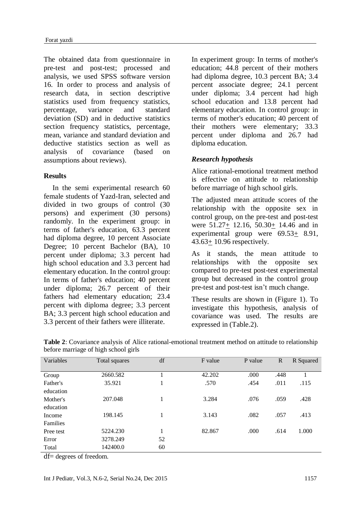The obtained data from questionnaire in pre-test and post-test; processed and analysis, we used SPSS software version 16. In order to process and analysis of research data, in section descriptive statistics used from frequency statistics, percentage, variance and standard deviation (SD) and in deductive statistics section frequency statistics, percentage, mean, variance and standard deviation and deductive statistics section as well as analysis of covariance (based on assumptions about reviews).

### **Results**

In the semi experimental research 60 female students of Yazd-Iran, selected and divided in two groups of control (30 persons) and experiment (30 persons) randomly. In the experiment group: in terms of father's education, 63.3 percent had diploma degree, 10 percent Associate Degree; 10 percent Bachelor (BA), 10 percent under diploma; 3.3 percent had high school education and 3.3 percent had elementary education. In the control group: In terms of father's education; 40 percent under diploma; 26.7 percent of their fathers had elementary education; 23.4 percent with diploma degree; 3.3 percent BA; 3.3 percent high school education and 3.3 percent of their fathers were illiterate.

In experiment group: In terms of mother's education; 44.8 percent of their mothers had diploma degree, 10.3 percent BA; 3.4 percent associate degree; 24.1 percent under diploma; 3.4 percent had high school education and 13.8 percent had elementary education. In control group: in terms of mother's education; 40 percent of their mothers were elementary; 33.3 percent under diploma and 26.7 had diploma education.

### *Research hypothesis*

Alice rational-emotional treatment method is effective on attitude to relationship before marriage of high school girls.

The adjusted mean attitude scores of the relationship with the opposite sex in control group, on the pre-test and post-test were 51.27+ 12.16, 50.30+ 14.46 and in experimental group were 69.53+ 8.91,  $43.63 \pm 10.96$  respectively.

As it stands, the mean attitude to relationships with the opposite sex compared to pre-test post-test experimental group but decreased in the control group pre-test and post-test isn't much change.

These results are shown in (Figure 1). To investigate this hypothesis, analysis of covariance was used. The results are expressed in (Table.2).

| Variables | Total squares | df | F value | P value | $\mathbb{R}$ | R Squared |
|-----------|---------------|----|---------|---------|--------------|-----------|
|           |               |    |         |         |              |           |
| Group     | 2660.582      |    | 42.202  | .000    | .448         |           |
| Father's  | 35.921        | 1  | .570    | .454    | .011         | .115      |
| education |               |    |         |         |              |           |
| Mother's  | 207.048       | 1  | 3.284   | .076    | .059         | .428      |
| education |               |    |         |         |              |           |
| Income    | 198.145       | 1  | 3.143   | .082    | .057         | .413      |
| Families  |               |    |         |         |              |           |
| Pree test | 5224.230      | 1  | 82.867  | .000    | .614         | 1.000     |
| Error     | 3278.249      | 52 |         |         |              |           |
| Total     | 142400.0      | 60 |         |         |              |           |

**Table 2**: Covariance analysis of Alice rational-emotional treatment method on attitude to relationship before marriage of high school girls

df= degrees of freedom.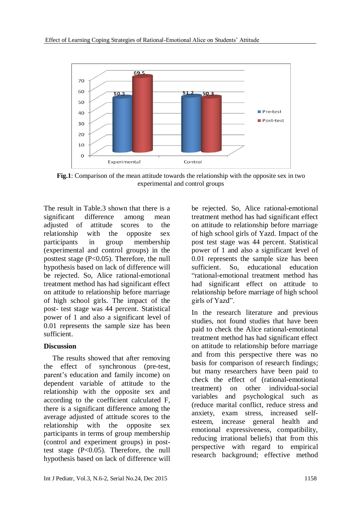

**Fig.1**: Comparison of the mean attitude towards the relationship with the opposite sex in two experimental and control groups

The result in Table.3 shown that there is a significant difference among mean adjusted of attitude scores to the relationship with the opposite sex participants in group membership (experimental and control groups) in the posttest stage  $(P<0.05)$ . Therefore, the null hypothesis based on lack of difference will be rejected. So, Alice rational-emotional treatment method has had significant effect on attitude to relationship before marriage of high school girls. The impact of the post- test stage was 44 percent. Statistical power of 1 and also a significant level of 0.01 represents the sample size has been sufficient.

# **Discussion**

The results showed that after removing the effect of synchronous (pre-test, parent's education and family income) on dependent variable of attitude to the relationship with the opposite sex and according to the coefficient calculated F, there is a significant difference among the average adjusted of attitude scores to the relationship with the opposite sex participants in terms of group membership (control and experiment groups) in posttest stage (P<0.05). Therefore, the null hypothesis based on lack of difference will

be rejected. So, Alice rational-emotional treatment method has had significant effect on attitude to relationship before marriage of high school girls of Yazd. Impact of the post test stage was 44 percent. Statistical power of 1 and also a significant level of 0.01 represents the sample size has been sufficient. So, educational education "rational-emotional treatment method has had significant effect on attitude to relationship before marriage of high school girls of Yazd".

In the research literature and previous studies, not found studies that have been paid to check the Alice rational-emotional treatment method has had significant effect on attitude to relationship before marriage and from this perspective there was no basis for comparison of research findings; but many researchers have been paid to check the effect of (rational-emotional treatment) on other individual-social variables and psychological such as (reduce marital conflict, reduce stress and anxiety, exam stress, increased selfesteem, increase general health and emotional expressiveness, compatibility, reducing irrational beliefs) that from this perspective with regard to empirical research background; effective method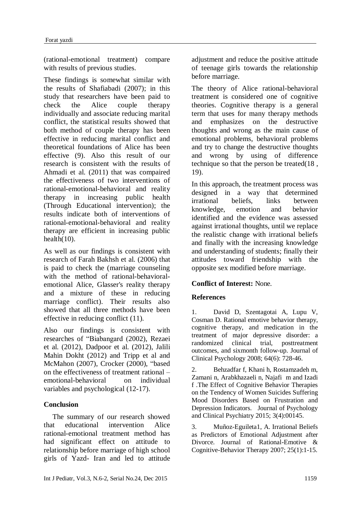(rational-emotional treatment) compare with results of previous studies.

These findings is somewhat similar with the results of Shafiabadi (2007); in this study that researchers have been paid to check the Alice couple therapy individually and associate reducing marital conflict, the statistical results showed that both method of couple therapy has been effective in reducing marital conflict and theoretical foundations of Alice has been effective (9). Also this result of our research is consistent with the results of Ahmadi et al. (2011) that was compaired the effectiveness of two interventions of rational-emotional-behavioral and reality therapy in increasing public health (Through Educational intervention); the results indicate both of interventions of rational-emotional-behavioral and reality therapy are efficient in increasing public health(10).

As well as our findings is consistent with research of Farah Bakhsh et al. (2006) that is paid to check the (marriage counseling with the method of rational-behavioralemotional Alice, Glasser's reality therapy and a mixture of these in reducing marriage conflict). Their results also showed that all three methods have been effective in reducing conflict (11).

Also our findings is consistent with researches of "Biabangard (2002), Rezaei et al. (2012), Dadpoor et al. (2012), Jalili Mahin Dokht (2012) and Tripp et al and McMahon (2007), Crocker (2000), "based on the effectiveness of treatment rational – emotional-behavioral on individual variables and psychological (12-17).

# **Conclusion**

The summary of our research showed that educational intervention Alice rational-emotional treatment method has had significant effect on attitude to relationship before marriage of high school girls of Yazd- Iran and led to attitude adjustment and reduce the positive attitude of teenage girls towards the relationship before marriage.

The theory of Alice rational-behavioral treatment is considered one of cognitive theories. Cognitive therapy is a general term that uses for many therapy methods and emphasizes on the destructive thoughts and wrong as the main cause of emotional problems, behavioral problems and try to change the destructive thoughts and wrong by using of difference technique so that the person be treated(18 , 19).

In this approach, the treatment process was designed in a way that determined irrational beliefs, links between knowledge, emotion and behavior identified and the evidence was assessed against irrational thoughts, until we replace the realistic change with irrational beliefs and finally with the increasing knowledge and understanding of students; finally their attitudes toward friendship with the opposite sex modified before marriage.

# **Conflict of Interest:** None.

# **References**

1. David D, Szentagotai A, Lupu V, Cosman D. Rational emotive behavior therapy, cognitive therapy, and medication in the treatment of major depressive disorder: a randomized clinical trial, posttreatment outcomes, and sixmonth follow-up. Journal of Clinical Psychology 2008; 64(6): 728-46.

2. Behzadfar f, Khani h, Rostamzadeh m, Zamani n, Arabkhazaeli n, Najafi m and Izadi f .The Effect of Cognitive Behavior Therapies on the Tendency of Women Suicides Suffering Mood Disorders Based on Frustration and Depression Indicators. Journal of Psychology and Clinical Psychiatry 2015; 3(4):00145.

3. Muñoz-Eguileta1, A. Irrational Beliefs as Predictors of Emotional Adjustment after Divorce. Journal of Rational-Emotive & Cognitive-Behavior Therapy 2007; 25(1):1-15.